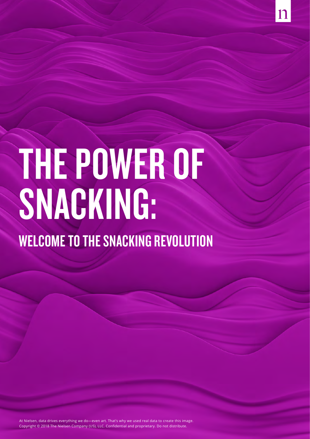

# THE POWER OF SNACKING:

WELCOME TO THE SNACKING REVOLUTION

At Nielsen, data drives everything we do—even art. That's why we used real data to create this image. Copyright © 2018 The Nielsen Company (US), LLC. Confidential and proprietary. Do not distribute.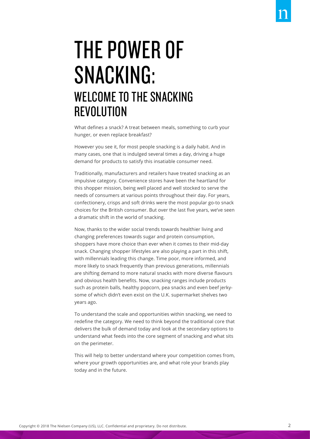# THE POWER OF SNACKING: WELCOME TO THE SNACKING REVOLUTION

What defines a snack? A treat between meals, something to curb your hunger, or even replace breakfast?

However you see it, for most people snacking is a daily habit. And in many cases, one that is indulged several times a day, driving a huge demand for products to satisfy this insatiable consumer need.

Traditionally, manufacturers and retailers have treated snacking as an impulsive category. Convenience stores have been the heartland for this shopper mission, being well placed and well stocked to serve the needs of consumers at various points throughout their day. For years, confectionery, crisps and soft drinks were the most popular go-to snack choices for the British consumer. But over the last five years, we've seen a dramatic shift in the world of snacking.

Now, thanks to the wider social trends towards healthier living and changing preferences towards sugar and protein consumption, shoppers have more choice than ever when it comes to their mid-day snack. Changing shopper lifestyles are also playing a part in this shift, with millennials leading this change. Time poor, more informed, and more likely to snack frequently than previous generations, millennials are shifting demand to more natural snacks with more diverse flavours and obvious health benefits. Now, snacking ranges include products such as protein balls, healthy popcorn, pea snacks and even beef jerkysome of which didn't even exist on the U.K. supermarket shelves two years ago.

To understand the scale and opportunities within snacking, we need to redefine the category. We need to think beyond the traditional core that delivers the bulk of demand today and look at the secondary options to understand what feeds into the core segment of snacking and what sits on the perimeter.

This will help to better understand where your competition comes from, where your growth opportunities are, and what role your brands play today and in the future.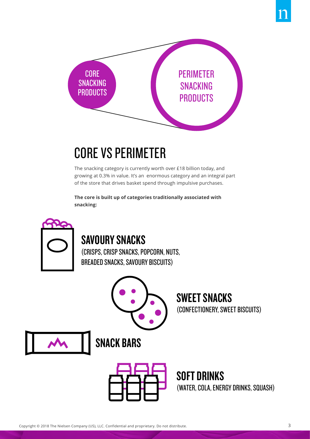

# CORE VS PERIMETER

The snacking category is currently worth over £18 billion today, and growing at 0.3% in value. It's an enormous category and an integral part of the store that drives basket spend through impulsive purchases.

**The core is built up of categories traditionally associated with snacking:**



## SAVOURY SNACKS

(CRISPS, CRISP SNACKS, POPCORN, NUTS, BREADED SNACKS, SAVOURY BISCUITS)



SWEET SNACKS (CONFECTIONERY, SWEET BISCUITS)





SOFT DRINKS (WATER, COLA, ENERGY DRINKS, SQUASH)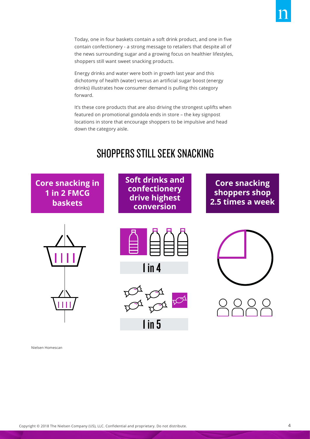Today, one in four baskets contain a soft drink product, and one in five contain confectionery - a strong message to retailers that despite all of the news surrounding sugar and a growing focus on healthier lifestyles, shoppers still want sweet snacking products.

Energy drinks and water were both in growth last year and this dichotomy of health (water) versus an artificial sugar boost (energy drinks) illustrates how consumer demand is pulling this category forward.

It's these core products that are also driving the strongest uplifts when featured on promotional gondola ends in store – the key signpost locations in store that encourage shoppers to be impulsive and head down the category aisle.

## SHOPPERS STILL SEEK SNACKING

**Core snacking in 1 in 2 FMCG baskets**





**conversion**

```
1 in 4
```


1 in 5

Nielsen Homescan

**Soft drinks and confectionery drive highest** 

**Core snacking shoppers shop 2.5 times a week**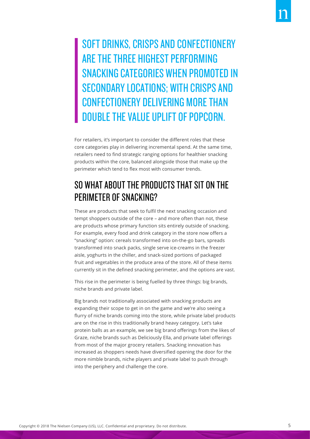SOFT DRINKS, CRISPS AND CONFECTIONERY ARE THE THREE HIGHEST PERFORMING SNACKING CATEGORIES WHEN PROMOTED IN SECONDARY LOCATIONS; WITH CRISPS AND CONFECTIONERY DELIVERING MORE THAN DOUBLE THE VALUE UPLIFT OF POPCORN.

For retailers, it's important to consider the different roles that these core categories play in delivering incremental spend. At the same time, retailers need to find strategic ranging options for healthier snacking products within the core, balanced alongside those that make up the perimeter which tend to flex most with consumer trends.

#### SO WHAT ABOUT THE PRODUCTS THAT SIT ON THE PERIMETER OF SNACKING?

These are products that seek to fulfil the next snacking occasion and tempt shoppers outside of the core – and more often than not, these are products whose primary function sits entirely outside of snacking. For example, every food and drink category in the store now offers a "snacking" option: cereals transformed into on-the-go bars, spreads transformed into snack packs, single serve ice-creams in the freezer aisle, yoghurts in the chiller, and snack-sized portions of packaged fruit and vegetables in the produce area of the store. All of these items currently sit in the defined snacking perimeter, and the options are vast.

This rise in the perimeter is being fuelled by three things: big brands, niche brands and private label.

Big brands not traditionally associated with snacking products are expanding their scope to get in on the game and we're also seeing a flurry of niche brands coming into the store, while private label products are on the rise in this traditionally brand heavy category. Let's take protein balls as an example, we see big brand offerings from the likes of Graze, niche brands such as Deliciously Ella, and private label offerings from most of the major grocery retailers. Snacking innovation has increased as shoppers needs have diversified opening the door for the more nimble brands, niche players and private label to push through into the periphery and challenge the core.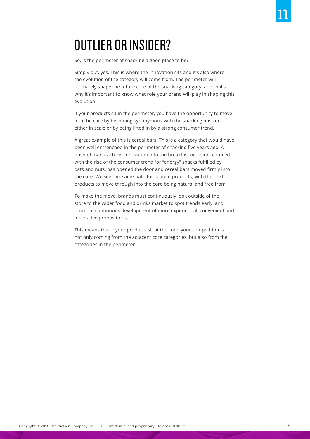# OUTLIER OR INSIDER?

So, is the perimeter of snacking a good place to be?

Simply put, yes. This is where the innovation sits and it's also where the evolution of the category will come from. The perimeter will ultimately shape the future core of the snacking category, and that's why it's important to know what role your brand will play in shaping this evolution.

If your products sit in the perimeter, you have the opportunity to move into the core by becoming synonymous with the snacking mission, either in scale or by being lifted in by a strong consumer trend.

A great example of this is cereal bars. This is a category that would have been well entrenched in the perimeter of snacking five years ago. A push of manufacturer innovation into the breakfast occasion, coupled with the rise of the consumer trend for "energy" snacks fulfilled by oats and nuts, has opened the door and cereal bars moved firmly into the core. We see this same path for protein products, with the next products to move through into the core being natural and free from.

To make the move, brands must continuously look outside of the store to the wider food and drinks market to spot trends early, and promote continuous development of more experiential, convenient and innovative propositions.

This means that if your products sit at the core, your competition is not only coming from the adjacent core categories, but also from the categories in the perimeter.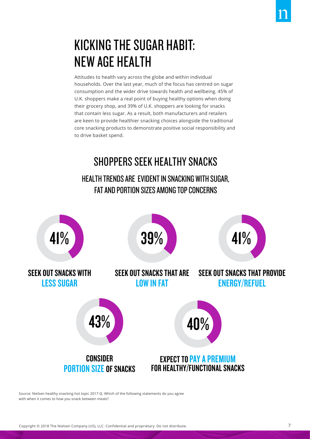# KICKING THE SUGAR HABIT: NEW AGE HEALTH

Attitudes to health vary across the globe and within individual households. Over the last year, much of the focus has centred on sugar consumption and the wider drive towards health and wellbeing. 45% of U.K. shoppers make a real point of buying healthy options when doing their grocery shop, and 39% of U.K. shoppers are looking for snacks that contain less sugar. As a result, both manufacturers and retailers are keen to provide healthier snacking choices alongside the traditional core snacking products to demonstrate positive social responsibility and to drive basket spend.

## SHOPPERS SEEK HEALTHY SNACKS HEALTH TRENDS ARE EVIDENT IN SNACKING WITH SUGAR, FAT AND PORTION SIZES AMONG TOP CONCERNS



Source: Nielsen healthy snacking hot topic 2017-Q. Which of the following statements do you agree with when it comes to how you snack between meals?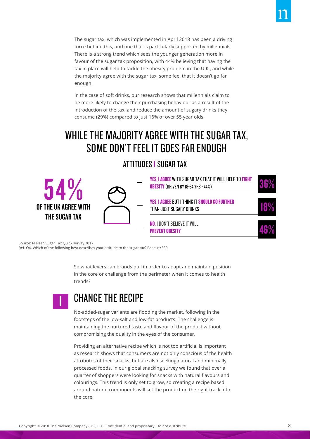In the case of soft drinks, our research shows that millennials claim to be more likely to change their purchasing behaviour as a result of the introduction of the tax, and reduce the amount of sugary drinks they consume (29%) compared to just 16% of over 55 year olds.

## WHILE THE MAJORITY AGREE WITH THE SUGAR TAX, SOME DON'T FEEL IT GOES FAR ENOUGH

ATTITUDES I SUGAR TAX



Source: Nielsen Sugar Tax Quick survey 2017.

Ref. Q4. Which of the following best describes your attitude to the sugar tax? Base: n=539

So what levers can brands pull in order to adapt and maintain position in the core or challenge from the perimeter when it comes to health trends?



#### CHANGE THE RECIPE

No-added-sugar variants are flooding the market, following in the footsteps of the low-salt and low-fat products. The challenge is maintaining the nurtured taste and flavour of the product without compromising the quality in the eyes of the consumer.

Providing an alternative recipe which is not too artificial is important as research shows that consumers are not only conscious of the health attributes of their snacks, but are also seeking natural and minimally processed foods. In our global snacking survey we found that over a quarter of shoppers were looking for snacks with natural flavours and colourings. This trend is only set to grow, so creating a recipe based around natural components will set the product on the right track into the core.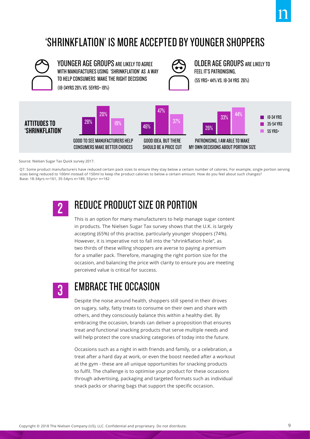## 'SHRINKFLATION' IS MORE ACCEPTED BY YOUNGER SHOPPERS



Source: Nielsen Sugar Tax Quick survey 2017.

Q7. Some product manufacturers have reduced certain pack sizes to ensure they stay below a certain number of calories. For example, single portion serving sizes being reduced to 100ml instead of 150ml to keep the product calories to below a certain amount. How do you feel about such changes? Base: 18-34yrs n=161, 35-54yrs n=189, 55yrs+ n=182

2

## REDUCE PRODUCT SIZE OR PORTION

This is an option for many manufacturers to help manage sugar content in products. The Nielsen Sugar Tax survey shows that the U.K. is largely accepting (65%) of this practise, particularly younger shoppers (74%). However, it is imperative not to fall into the "shrinkflation hole", as two thirds of these willing shoppers are averse to paying a premium for a smaller pack. Therefore, managing the right portion size for the occasion, and balancing the price with clarity to ensure you are meeting perceived value is critical for success.



#### EMBRACE THE OCCASION

Despite the noise around health, shoppers still spend in their droves on sugary, salty, fatty treats to consume on their own and share with others, and they consciously balance this within a healthy diet. By embracing the occasion, brands can deliver a proposition that ensures treat and functional snacking products that serve multiple needs and will help protect the core snacking categories of today into the future.

Occasions such as a night in with friends and family, or a celebration, a treat after a hard day at work, or even the boost needed after a workout at the gym - these are all unique opportunities for snacking products to fulfil. The challenge is to optimise your product for these occasions through advertising, packaging and targeted formats such as individual snack packs or sharing bags that support the specific occasion.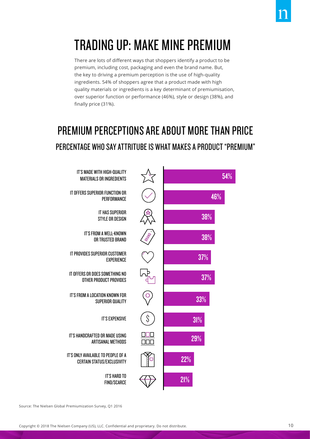# TRADING UP: MAKE MINE PREMIUM

There are lots of different ways that shoppers identify a product to be premium, including cost, packaging and even the brand name. But, the key to driving a premium perception is the use of high-quality ingredients. 54% of shoppers agree that a product made with high quality materials or ingredients is a key determinant of premiumisation, over superior function or performance (46%), style or design (38%), and finally price (31%).

# PREMIUM PERCEPTIONS ARE ABOUT MORE THAN PRICE PERCENTAGE WHO SAY ATTRITUBE IS WHAT MAKES A PRODUCT "PREMIUM"



Source: The Nielsen Global Premiumization Survey, Q1 2016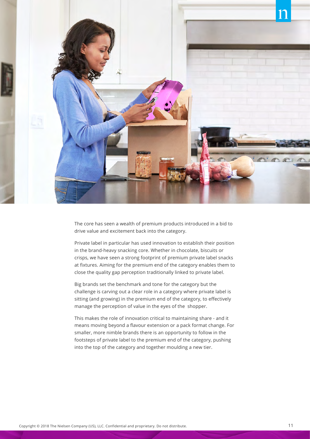

The core has seen a wealth of premium products introduced in a bid to drive value and excitement back into the category.

Private label in particular has used innovation to establish their position in the brand-heavy snacking core. Whether in chocolate, biscuits or crisps, we have seen a strong footprint of premium private label snacks at fixtures. Aiming for the premium end of the category enables them to close the quality gap perception traditionally linked to private label.

Big brands set the benchmark and tone for the category but the challenge is carving out a clear role in a category where private label is sitting (and growing) in the premium end of the category, to effectively manage the perception of value in the eyes of the shopper.

This makes the role of innovation critical to maintaining share - and it means moving beyond a flavour extension or a pack format change. For smaller, more nimble brands there is an opportunity to follow in the footsteps of private label to the premium end of the category, pushing into the top of the category and together moulding a new tier.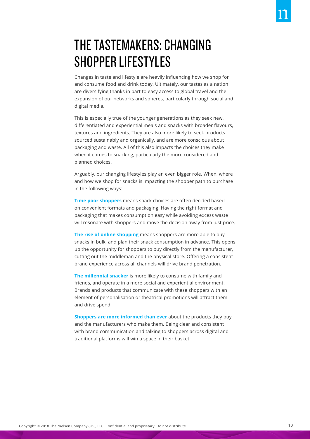# THE TASTEMAKERS: CHANGING SHOPPER LIFESTYLES

Changes in taste and lifestyle are heavily influencing how we shop for and consume food and drink today. Ultimately, our tastes as a nation are diversifying thanks in part to easy access to global travel and the expansion of our networks and spheres, particularly through social and digital media.

This is especially true of the younger generations as they seek new, differentiated and experiential meals and snacks with broader flavours, textures and ingredients. They are also more likely to seek products sourced sustainably and organically, and are more conscious about packaging and waste. All of this also impacts the choices they make when it comes to snacking, particularly the more considered and planned choices.

Arguably, our changing lifestyles play an even bigger role. When, where and how we shop for snacks is impacting the shopper path to purchase in the following ways:

**Time poor shoppers** means snack choices are often decided based on convenient formats and packaging. Having the right format and packaging that makes consumption easy while avoiding excess waste will resonate with shoppers and move the decision away from just price.

**The rise of online shopping** means shoppers are more able to buy snacks in bulk, and plan their snack consumption in advance. This opens up the opportunity for shoppers to buy directly from the manufacturer, cutting out the middleman and the physical store. Offering a consistent brand experience across all channels will drive brand penetration.

**The millennial snacker** is more likely to consume with family and friends, and operate in a more social and experiential environment. Brands and products that communicate with these shoppers with an element of personalisation or theatrical promotions will attract them and drive spend.

**Shoppers are more informed than ever** about the products they buy and the manufacturers who make them. Being clear and consistent with brand communication and talking to shoppers across digital and traditional platforms will win a space in their basket.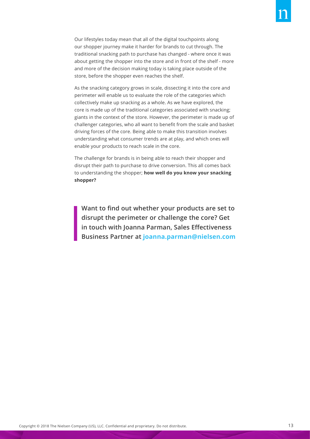Our lifestyles today mean that all of the digital touchpoints along our shopper journey make it harder for brands to cut through. The traditional snacking path to purchase has changed - where once it was about getting the shopper into the store and in front of the shelf - more and more of the decision making today is taking place outside of the store, before the shopper even reaches the shelf.

As the snacking category grows in scale, dissecting it into the core and perimeter will enable us to evaluate the role of the categories which collectively make up snacking as a whole. As we have explored, the core is made up of the traditional categories associated with snacking; giants in the context of the store. However, the perimeter is made up of challenger categories, who all want to benefit from the scale and basket driving forces of the core. Being able to make this transition involves understanding what consumer trends are at play, and which ones will enable your products to reach scale in the core.

The challenge for brands is in being able to reach their shopper and disrupt their path to purchase to drive conversion. This all comes back to understanding the shopper; **how well do you know your snacking shopper?**

**Want to find out whether your products are set to disrupt the perimeter or challenge the core? Get in touch with Joanna Parman, Sales Effectiveness Business Partner at joanna.parman@nielsen.com**